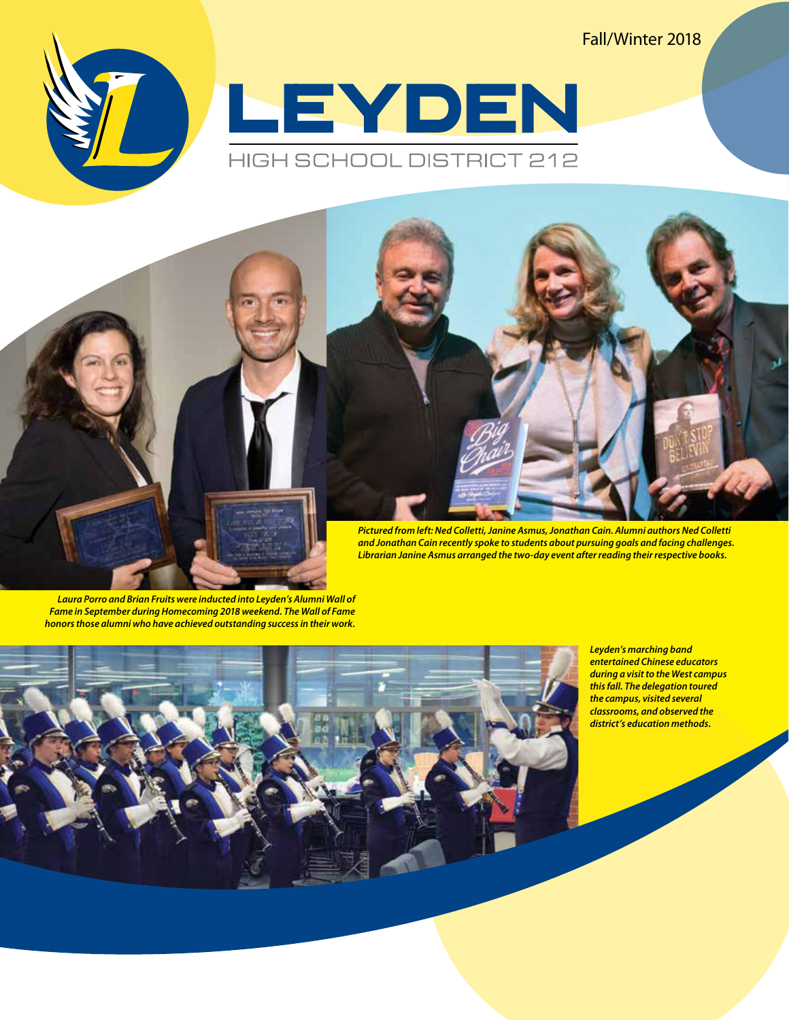Fall/Winter 2018





*Librarian Janine Asmus arranged the two-day event after reading their respective books.*

*Laura Porro and Brian Fruits were inducted into Leyden's Alumni Wall of Fame in September during Homecoming 2018 weekend. The Wall of Fame honors those alumni who have achieved outstanding success in their work.*



*Leyden's marching band entertained Chinese educators during a visit to the West campus this fall. The delegation toured the campus, visited several classrooms, and observed the district's education methods.*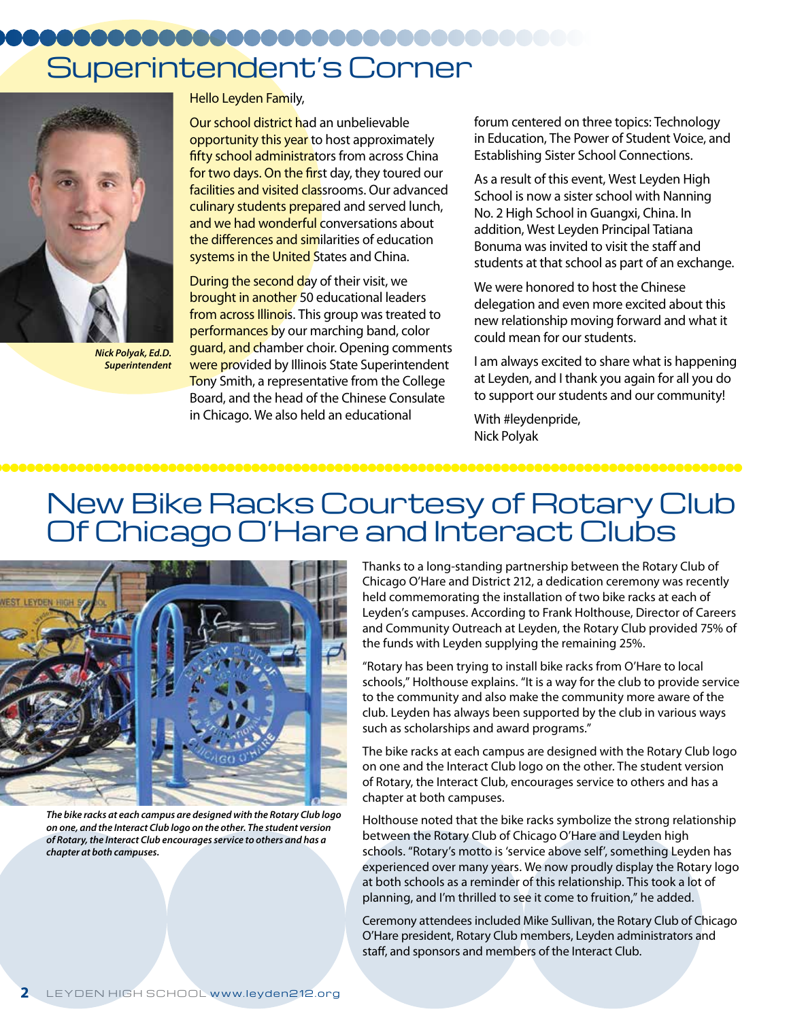# Superintendent's Corner



*Nick Polyak, Ed.D. Superintendent*

Hello Leyden Family,

Our school district had an unbelievable opportunity this year to host approximately fifty school administrators from across China for two days. On the first day, they toured our facilities and visited classrooms. Our advanced culinary students prepared and served lunch, and we had wonderful conversations about the differences and similarities of education systems in the United States and China.

During the second day of their visit, we brought in another 50 educational leaders from across Illinois. This group was treated to performances by our marching band, color guard, and chamber choir. Opening comments were provided by Illinois State Superintendent Tony Smith, a representative from the College Board, and the head of the Chinese Consulate in Chicago. We also held an educational

forum centered on three topics: Technology in Education, The Power of Student Voice, and Establishing Sister School Connections.

As a result of this event, West Leyden High School is now a sister school with Nanning No. 2 High School in Guangxi, China. In addition, West Leyden Principal Tatiana Bonuma was invited to visit the staff and students at that school as part of an exchange.

We were honored to host the Chinese delegation and even more excited about this new relationship moving forward and what it could mean for our students.

I am always excited to share what is happening at Leyden, and I thank you again for all you do to support our students and our community!

With #leydenpride, Nick Polyak

# New Bike Racks Courtesy of Rotary Club Of Chicago O'Hare and Interact Clubs



*The bike racks at each campus are designed with the Rotary Club logo on one, and the Interact Club logo on the other. The student version of Rotary, the Interact Club encourages service to others and has a chapter at both campuses.*

Thanks to a long-standing partnership between the Rotary Club of Chicago O'Hare and District 212, a dedication ceremony was recently held commemorating the installation of two bike racks at each of Leyden's campuses. According to Frank Holthouse, Director of Careers and Community Outreach at Leyden, the Rotary Club provided 75% of the funds with Leyden supplying the remaining 25%.

"Rotary has been trying to install bike racks from O'Hare to local schools," Holthouse explains. "It is a way for the club to provide service to the community and also make the community more aware of the club. Leyden has always been supported by the club in various ways such as scholarships and award programs."

The bike racks at each campus are designed with the Rotary Club logo on one and the Interact Club logo on the other. The student version of Rotary, the Interact Club, encourages service to others and has a chapter at both campuses.

Holthouse noted that the bike racks symbolize the strong relationship between the Rotary Club of Chicago O'Hare and Leyden high schools. "Rotary's motto is 'service above self', something Leyden has experienced over many years. We now proudly display the Rotary logo at both schools as a reminder of this relationship. This took a lot of planning, and I'm thrilled to see it come to fruition," he added.

Ceremony attendees included Mike Sullivan, the Rotary Club of Chicago O'Hare president, Rotary Club members, Leyden administrators and staff, and sponsors and members of the Interact Club.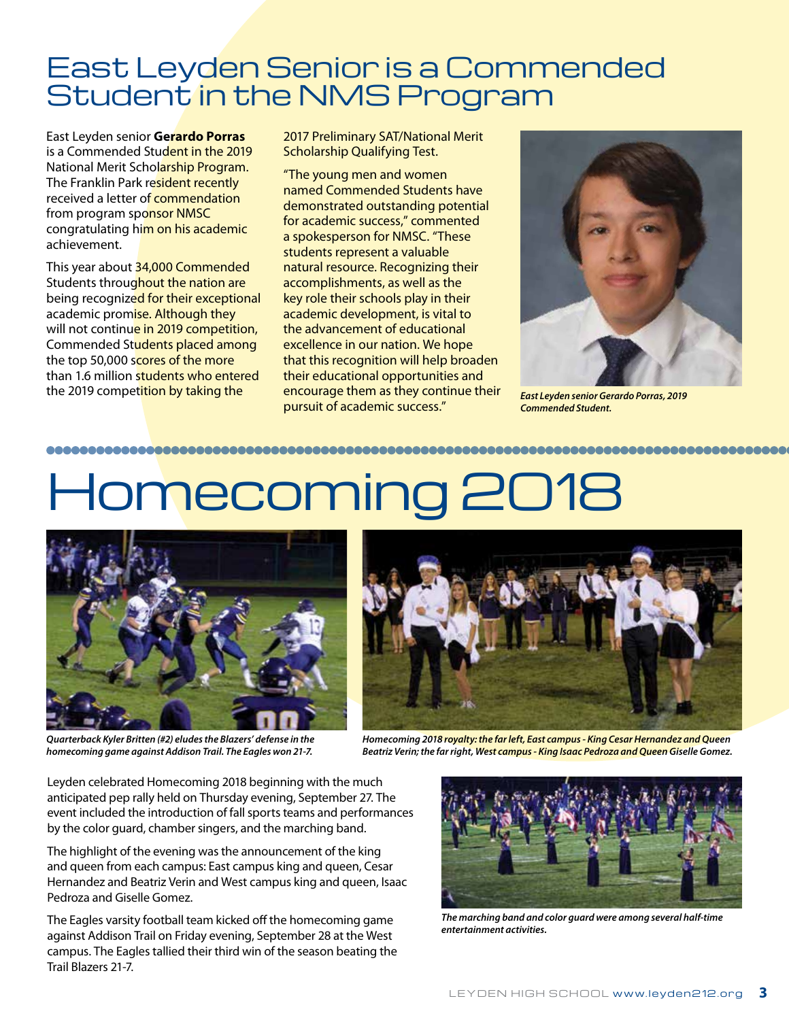# East Leyden Senior is a Commended Student in the NMS Program

East Leyden senior **Gerardo Porras** is a Commended Student in the 2019 National Merit Scholarship Program. The Franklin Park resident recently received a letter of commendation from program sponsor NMSC congratulating him on his academic achievement.

This year about 34,000 Commended Students throughout the nation are being recognized for their exceptional academic promise. Although they will not continue in 2019 competition, Commended Students placed among the top 50,000 scores of the more than 1.6 million students who entered the 2019 competition by taking the

2017 Preliminary SAT/National Merit Scholarship Qualifying Test.

"The young men and women named Commended Students have demonstrated outstanding potential for academic success," commented a spokesperson for NMSC. "These students represent a valuable natural resource. Recognizing their accomplishments, as well as the key role their schools play in their academic development, is vital to the advancement of educational excellence in our nation. We hope that this recognition will help broaden their educational opportunities and encourage them as they continue their pursuit of academic success."



*East Leyden senior Gerardo Porras, 2019 Commended Student.*

# Homecoming 2018



*Quarterback Kyler Britten (#2) eludes the Blazers' defense in the homecoming game against Addison Trail. The Eagles won 21-7.*

*Homecoming 2018 royalty: the far left, East campus - King Cesar Hernandez and Queen Beatriz Verin; the far right, West campus - King Isaac Pedroza and Queen Giselle Gomez.*

Leyden celebrated Homecoming 2018 beginning with the much anticipated pep rally held on Thursday evening, September 27. The event included the introduction of fall sports teams and performances by the color guard, chamber singers, and the marching band.

The highlight of the evening was the announcement of the king and queen from each campus: East campus king and queen, Cesar Hernandez and Beatriz Verin and West campus king and queen, Isaac Pedroza and Giselle Gomez.

The Eagles varsity football team kicked off the homecoming game against Addison Trail on Friday evening, September 28 at the West campus. The Eagles tallied their third win of the season beating the Trail Blazers 21-7.



*The marching band and color guard were among several half-time entertainment activities.*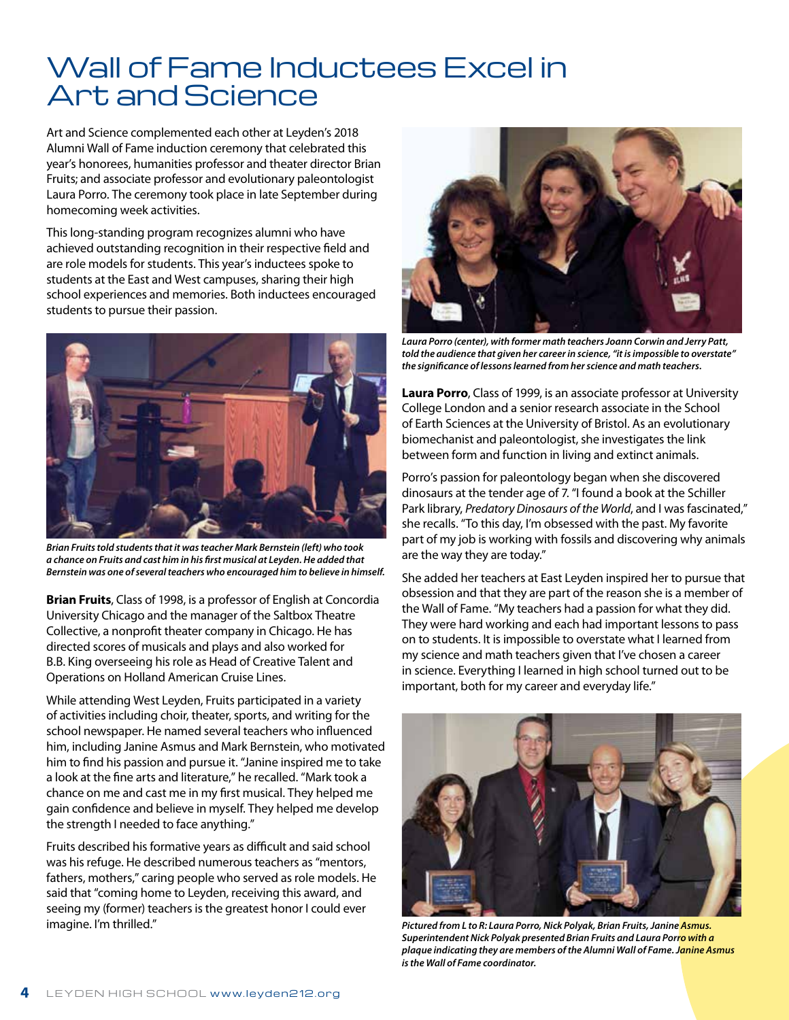# Wall of Fame Inductees Excel in Art and Science

Art and Science complemented each other at Leyden's 2018 Alumni Wall of Fame induction ceremony that celebrated this year's honorees, humanities professor and theater director Brian Fruits; and associate professor and evolutionary paleontologist Laura Porro. The ceremony took place in late September during homecoming week activities.

This long-standing program recognizes alumni who have achieved outstanding recognition in their respective field and are role models for students. This year's inductees spoke to students at the East and West campuses, sharing their high school experiences and memories. Both inductees encouraged students to pursue their passion.



*Brian Fruits told students that it was teacher Mark Bernstein (left) who took a chance on Fruits and cast him in his first musical at Leyden. He added that Bernstein was one of several teachers who encouraged him to believe in himself.*

**Brian Fruits**, Class of 1998, is a professor of English at Concordia University Chicago and the manager of the Saltbox Theatre Collective, a nonprofit theater company in Chicago. He has directed scores of musicals and plays and also worked for B.B. King overseeing his role as Head of Creative Talent and Operations on Holland American Cruise Lines.

While attending West Leyden, Fruits participated in a variety of activities including choir, theater, sports, and writing for the school newspaper. He named several teachers who influenced him, including Janine Asmus and Mark Bernstein, who motivated him to find his passion and pursue it. "Janine inspired me to take a look at the fine arts and literature," he recalled. "Mark took a chance on me and cast me in my first musical. They helped me gain confidence and believe in myself. They helped me develop the strength I needed to face anything."

Fruits described his formative years as difficult and said school was his refuge. He described numerous teachers as "mentors, fathers, mothers," caring people who served as role models. He said that "coming home to Leyden, receiving this award, and seeing my (former) teachers is the greatest honor I could ever imagine. I'm thrilled."



*Laura Porro (center), with former math teachers Joann Corwin and Jerry Patt, told the audience that given her career in science, "it is impossible to overstate" the significance of lessons learned from her science and math teachers.*

**Laura Porro**, Class of 1999, is an associate professor at University College London and a senior research associate in the School of Earth Sciences at the University of Bristol. As an evolutionary biomechanist and paleontologist, she investigates the link between form and function in living and extinct animals.

Porro's passion for paleontology began when she discovered dinosaurs at the tender age of 7. "I found a book at the Schiller Park library, *Predatory Dinosaurs of the World*, and I was fascinated," she recalls. "To this day, I'm obsessed with the past. My favorite part of my job is working with fossils and discovering why animals are the way they are today."

She added her teachers at East Leyden inspired her to pursue that obsession and that they are part of the reason she is a member of the Wall of Fame. "My teachers had a passion for what they did. They were hard working and each had important lessons to pass on to students. It is impossible to overstate what I learned from my science and math teachers given that I've chosen a career in science. Everything I learned in high school turned out to be important, both for my career and everyday life."



*Pictured from L to R: Laura Porro, Nick Polyak, Brian Fruits, Janine Asmus. Superintendent Nick Polyak presented Brian Fruits and Laura Porro with a plaque indicating they are members of the Alumni Wall of Fame. Janine Asmus is the Wall of Fame coordinator.*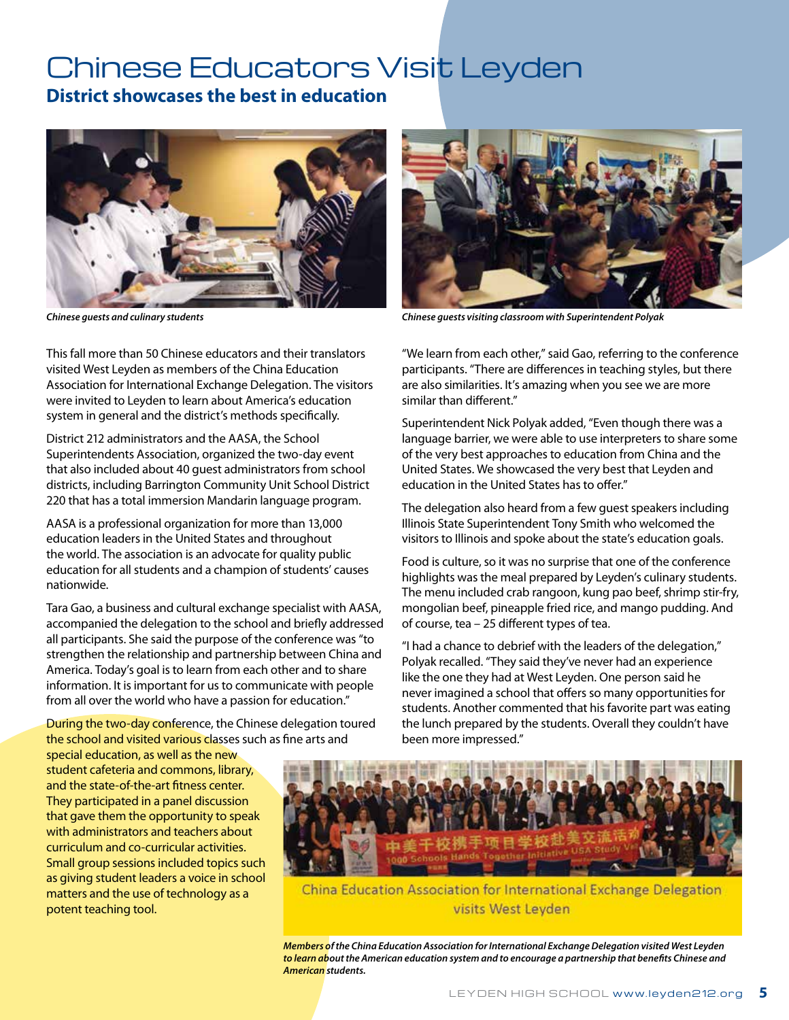### Chinese Educators Visit Leyden **District showcases the best in education**



This fall more than 50 Chinese educators and their translators visited West Leyden as members of the China Education Association for International Exchange Delegation. The visitors were invited to Leyden to learn about America's education system in general and the district's methods specifically.

District 212 administrators and the AASA, the School Superintendents Association, organized the two-day event that also included about 40 guest administrators from school districts, including Barrington Community Unit School District 220 that has a total immersion Mandarin language program.

AASA is a professional organization for more than 13,000 education leaders in the United States and throughout the world. The association is an advocate for quality public education for all students and a champion of students' causes nationwide.

Tara Gao, a business and cultural exchange specialist with AASA, accompanied the delegation to the school and briefly addressed all participants. She said the purpose of the conference was "to strengthen the relationship and partnership between China and America. Today's goal is to learn from each other and to share information. It is important for us to communicate with people from all over the world who have a passion for education."

During the two-day conference, the Chinese delegation toured the school and visited various classes such as fine arts and

special education, as well as the new student cafeteria and commons, library, and the state-of-the-art fitness center. They participated in a panel discussion that gave them the opportunity to speak with administrators and teachers about curriculum and co-curricular activities. Small group sessions included topics such as giving student leaders a voice in school matters and the use of technology as a potent teaching tool.



*Chinese guests and culinary students Chinese guests visiting classroom with Superintendent Polyak*

"We learn from each other," said Gao, referring to the conference participants. "There are differences in teaching styles, but there are also similarities. It's amazing when you see we are more similar than different."

Superintendent Nick Polyak added, "Even though there was a language barrier, we were able to use interpreters to share some of the very best approaches to education from China and the United States. We showcased the very best that Leyden and education in the United States has to offer."

The delegation also heard from a few guest speakers including Illinois State Superintendent Tony Smith who welcomed the visitors to Illinois and spoke about the state's education goals.

Food is culture, so it was no surprise that one of the conference highlights was the meal prepared by Leyden's culinary students. The menu included crab rangoon, kung pao beef, shrimp stir-fry, mongolian beef, pineapple fried rice, and mango pudding. And of course, tea – 25 different types of tea.

"I had a chance to debrief with the leaders of the delegation," Polyak recalled. "They said they've never had an experience like the one they had at West Leyden. One person said he never imagined a school that offers so many opportunities for students. Another commented that his favorite part was eating the lunch prepared by the students. Overall they couldn't have been more impressed."



China Education Association for International Exchange Delegation visits West Leyden

*Members of the China Education Association for International Exchange Delegation visited West Leyden to learn about the American education system and to encourage a partnership that benefits Chinese and American students.*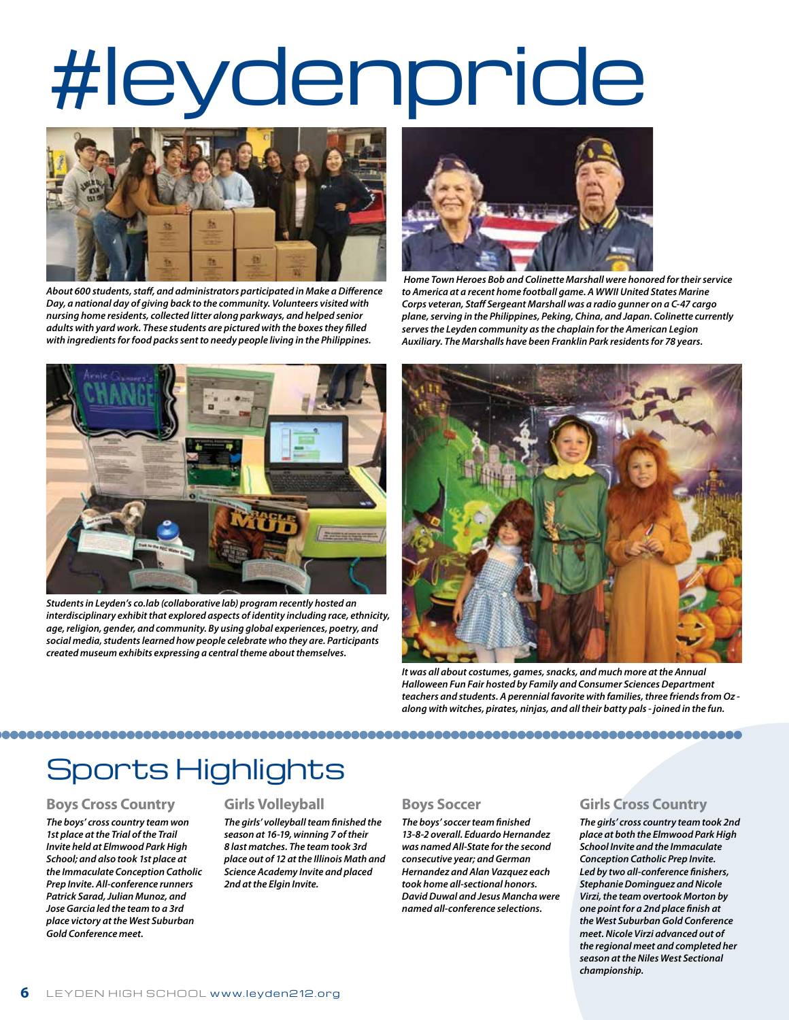# #leydenpride



*About 600 students, staff, and administrators participated in Make a Difference Day, a national day of giving back to the community. Volunteers visited with nursing home residents, collected litter along parkways, and helped senior adults with yard work. These students are pictured with the boxes they filled with ingredients for food packs sent to needy people living in the Philippines.* 



 *Home Town Heroes Bob and Colinette Marshall were honored for their service to America at a recent home football game. A WWII United States Marine Corps veteran, Staff Sergeant Marshall was a radio gunner on a C-47 cargo plane, serving in the Philippines, Peking, China, and Japan. Colinette currently serves the Leyden community as the chaplain for the American Legion Auxiliary. The Marshalls have been Franklin Park residents for 78 years.*



*Students in Leyden's co.lab (collaborative lab) program recently hosted an interdisciplinary exhibit that explored aspects of identity including race, ethnicity, age, religion, gender, and community. By using global experiences, poetry, and social media, students learned how people celebrate who they are. Participants created museum exhibits expressing a central theme about themselves.*



*It was all about costumes, games, snacks, and much more at the Annual Halloween Fun Fair hosted by Family and Consumer Sciences Department teachers and students. A perennial favorite with families, three friends from Oz along with witches, pirates, ninjas, and all their batty pals - joined in the fun.*

# Sports Highlights

#### **Boys Cross Country**

*The boys' cross country team won 1st place at the Trial of the Trail Invite held at Elmwood Park High School; and also took 1st place at the Immaculate Conception Catholic Prep Invite. All-conference runners Patrick Sarad, Julian Munoz, and Jose Garcia led the team to a 3rd place victory at the West Suburban Gold Conference meet.*

#### **Girls Volleyball**

*The girls' volleyball team finished the season at 16-19, winning 7 of their 8 last matches. The team took 3rd place out of 12 at the Illinois Math and Science Academy Invite and placed 2nd at the Elgin Invite.*

#### **Boys Soccer**

*The boys' soccer team finished 13-8-2 overall. Eduardo Hernandez was named All-State for the second consecutive year; and German Hernandez and Alan Vazquez each took home all-sectional honors. David Duwal and Jesus Mancha were named all-conference selections.*

#### **Girls Cross Country**

*The girls' cross country team took 2nd place at both the Elmwood Park High School Invite and the Immaculate Conception Catholic Prep Invite. Led by two all-conference finishers, Stephanie Dominguez and Nicole Virzi, the team overtook Morton by one point for a 2nd place finish at the West Suburban Gold Conference meet. Nicole Virzi advanced out of the regional meet and completed her season at the Niles West Sectional championship.*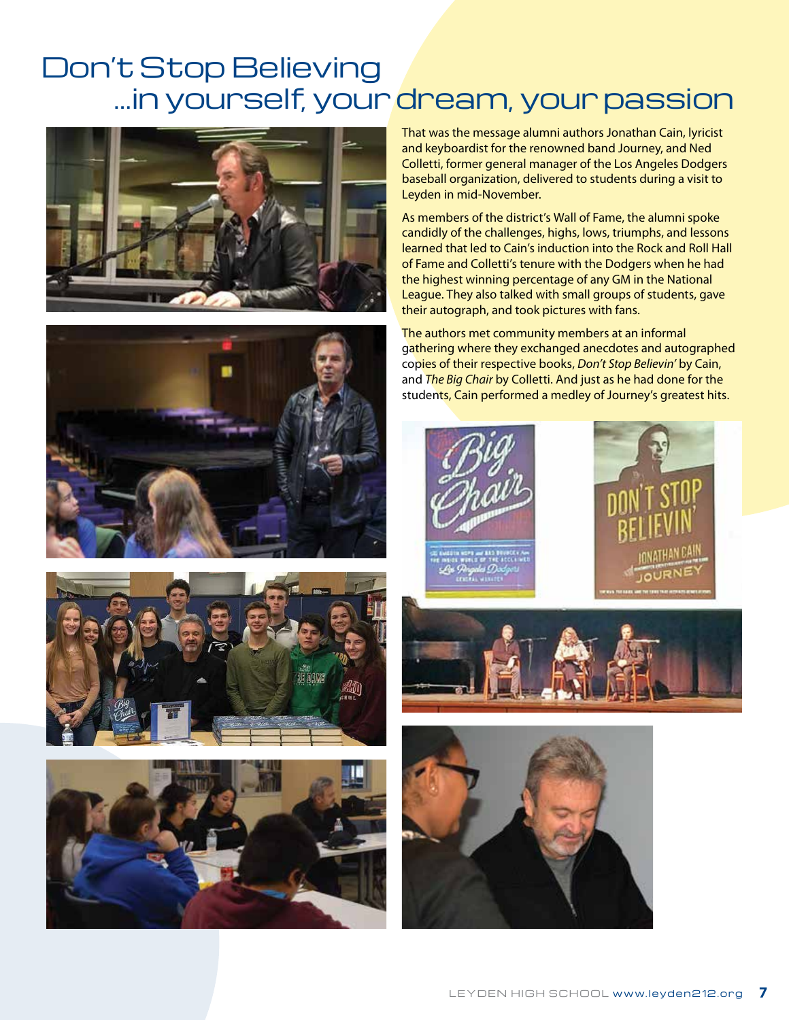# Don't Stop Believing …in yourself, your dream, your passion









That was the message alumni authors Jonathan Cain, lyricist and keyboardist for the renowned band Journey, and Ned Colletti, former general manager of the Los Angeles Dodgers baseball organization, delivered to students during a visit to Leyden in mid-November.

As members of the district's Wall of Fame, the alumni spoke candidly of the challenges, highs, lows, triumphs, and lessons learned that led to Cain's induction into the Rock and Roll Hall of Fame and Colletti's tenure with the Dodgers when he had the highest winning percentage of any GM in the National League. They also talked with small groups of students, gave their autograph, and took pictures with fans.

The authors met community members at an informal gathering where they exchanged anecdotes and autographed copies of their respective books, *Don't Stop Believin'* by Cain, and *The Big Chair* by Colletti. And just as he had done for the students, Cain performed a medley of Journey's greatest hits.